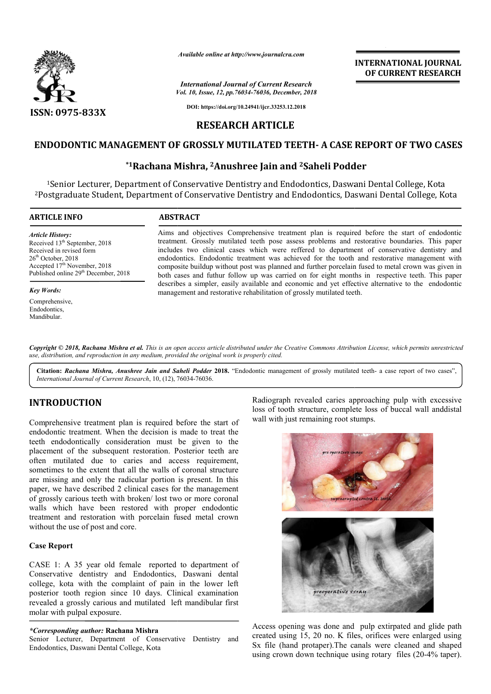

*Available online at http://www.journalcra.com*

*Vol. 10, Issue, 12, pp.76034-76036, December, 2018 International Journal of Current Research*

**INTERNATIONAL JOURNAL OF CURRENT RESEARCH**

**DOI: https://doi.org/10.24941/ijcr.33253.12.2018**

# **RESEARCH ARTICLE**

# **ENDODONTIC MANAGEMENT OF GROSSLY MUTILATED TEETH- A CASE REPORT OF TWO CASES**

# **\*1Rachana Mishra, Rachana 2Anushree Jain and 2Saheli Podder**

1Senior Lecturer, Department of Conservative Dentistry and Endodontics, Daswani Dental College, Kota <sup>1</sup>Senior Lecturer, Department of Conservative Dentistry and Endodontics, Daswani Dental College, Kota<br>Postgraduate Student, Department of Conservative Dentistry and Endodontics, Daswani Dental College, Kota?

#### **ARTICLE INFO ABSTRACT**

*Article History:* Received 13<sup>th</sup> September, 2018 Received in revised form 26<sup>th</sup> October, 2018 Accepted 17<sup>th</sup> November, 2018 Published online 29<sup>th</sup> December, 2018

#### *Key Words:*

Comprehensive, Endodontics, Mandibular.

Aims and objectives Comprehensive treatment plan is required before the start of endodontic treatment. Grossly mutilated teeth pose assess problems and restorative boundaries. This paper includes two clinical cases which were reffered to department of conservative dentistry and endodontics. Endodontic treatment was achieved for the tooth and restorative management with composite buildup without post was planned and further porcelain fused to metal crown was given in both cases and futhur follow up was carried on for eight months in respective teeth. describes a simpler, easily available and economic and yet effective alternative to the endodontic describes a simpler, easily available and economic and yet effectimanagement and restorative rehabilitation of grossly mutilated teeth. Aims and objectives Comprehensive treatment plan is required before the start of endodontic treatment. Grossly mutilated teeth pose assess problems and restorative boundaries. This paper includes two clinical cases which w

Copyright © 2018, Rachana Mishra et al. This is an open access article distributed under the Creative Commons Attribution License, which permits unrestrictea *use, distribution, and reproduction in any medium, provided the original work is properly cited.*

Citation: Rachana Mishra, Anushree Jain and Saheli Podder 2018. "Endodontic management of grossly mutilated teeth- a case report of two cases", *International Journal of Current Research*, 10, (12), 76034 76034-76036.

## **INTRODUCTION**

Comprehensive treatment plan is required before the start of endodontic treatment. When the decision is made to treat the teeth endodontically consideration must be given to the placement of the subsequent restoration. Posterior teeth are often mutilated due to caries and access requirement, sometimes to the extent that all the walls of coronal structure are missing and only the radicular portion is present. In this paper, we have described 2 clinical cases for the management of grossly carious teeth with broken/ lost two or more coronal walls which have been restored with proper endodontic treatment and restoration with porcelain fused metal crown without the use of post and core. Radiograph revealed caries approaching pulp with<br>the plan is required before the start of<br>t. When the decision is made to treat the<br>y consideration must be given to the<br>ubsequent restoration. Posterior teeth are<br>ue to cari

### **Case Report**

CASE 1: A 35 year old female reported to department of Conservative dentistry and Endodontics, Daswani dental college, kota with the complaint of pain in the lower left posterior tooth region since 10 days. Clinical examination revealed a grossly carious and mutilated left mandibular first molar with pulpal exposure.

#### *\*Corresponding author:* **Rachana Mishra**

Senior Lecturer, Department of Conservative Dentistry and Endodontics, Daswani Dental College, Kota

loss of tooth structure, complete loss of buccal wall anddistal wall with just remaining root stumps. Radiograph revealed caries approaching pulp with excessive



Access opening was done and pulp extirpated and glide path created using 15, 20 no. K files, orifices were enlarged using Sx file (hand protaper).The canals were cleaned and shaped using crown down technique using rotary files (20-4% taper).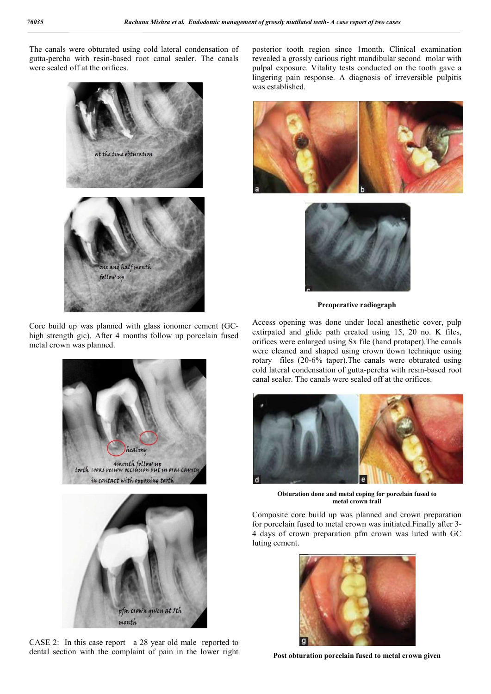The canals were obturated using cold lateral condensation of gutta-percha with resin-based root canal sealer. The canals were sealed off at the orifices.



Core build up was planned with glass ionomer cement (GChigh strength gic). After 4 months follow up porcelain fused metal crown was planned.



CASE 2: In this case report a 28 year old male reported to dental section with the complaint of pain in the lower right posterior tooth region since 1month. Clinical examination revealed a grossly carious right mandibular second molar with pulpal exposure. Vitality tests conducted on the tooth gave a lingering pain response. A diagnosis of irreversible pulpitis was established.





**Preoperative radiograph**

Access opening was done under local anesthetic cover, pulp extirpated and glide path created using 15, 20 no. K files, orifices were enlarged using Sx file (hand protaper).The canals were cleaned and shaped using crown down technique using rotary files (20-6% taper).The canals were obturated using cold lateral condensation of gutta-percha with resin-based root canal sealer. The canals were sealed off at the orifices.



**Obturation done and metal coping for porcelain fused to metal crown trail**

Composite core build up was planned and crown preparation for porcelain fused to metal crown was initiated.Finally after 3- 4 days of crown preparation pfm crown was luted with GC luting cement.



**Post obturation porcelain fused to metal crown given**